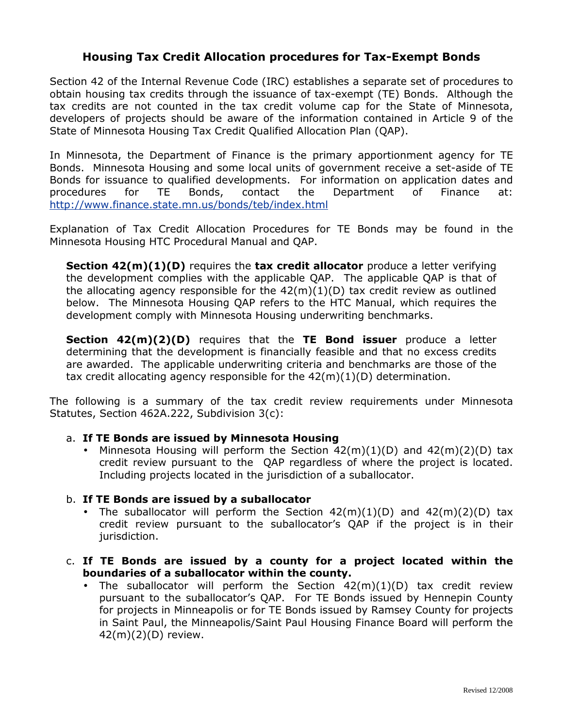## Housing Tax Credit Allocation procedures for Tax-Exempt Bonds

Section 42 of the Internal Revenue Code (IRC) establishes a separate set of procedures to obtain housing tax credits through the issuance of tax-exempt (TE) Bonds. Although the tax credits are not counted in the tax credit volume cap for the State of Minnesota, developers of projects should be aware of the information contained in Article 9 of the State of Minnesota Housing Tax Credit Qualified Allocation Plan (QAP).

In Minnesota, the Department of Finance is the primary apportionment agency for TE Bonds. Minnesota Housing and some local units of government receive a set-aside of TE Bonds for issuance to qualified developments. For information on application dates and procedures for TE Bonds, contact the Department of Finance at: [http://www.finance.state.mn.us/bonds/teb/index.htm](http://www.finance.state.mn.us/bonds/teb/index.html)l

Explanation of Tax Credit Allocation Procedures for TE Bonds may be found in the Minnesota Housing HTC Procedural Manual and QAP.

Section 42(m)(1)(D) requires the tax credit allocator produce a letter verifying the development complies with the applicable QAP. The applicable QAP is that of the allocating agency responsible for the  $42(m)(1)(D)$  tax credit review as outlined below. The Minnesota Housing QAP refers to the HTC Manual, which requires the development comply with Minnesota Housing underwriting benchmarks.

Section 42(m)(2)(D) requires that the TE Bond issuer produce a letter determining that the development is financially feasible and that no excess credits are awarded. The applicable underwriting criteria and benchmarks are those of the tax credit allocating agency responsible for the  $42(m)(1)(D)$  determination.

The following is a summary of the tax credit review requirements under Minnesota Statutes, Section 462A.222, Subdivision 3(c):

## a. If TE Bonds are issued by Minnesota Housing

• Minnesota Housing will perform the Section  $42(m)(1)(D)$  and  $42(m)(2)(D)$  tax credit review pursuant to the QAP regardless of where the project is located. Including projects located in the jurisdiction of a suballocator.

## b. If TE Bonds are issued by a suballocator

- The suballocator will perform the Section  $42(m)(1)(D)$  and  $42(m)(2)(D)$  tax credit review pursuant to the suballocator's QAP if the project is in their jurisdiction.
- c. If TE Bonds are issued by a county for a project located within the boundaries of a suballocator within the county.
	- The suballocator will perform the Section  $42(m)(1)(D)$  tax credit review pursuant to the suballocator's QAP. For TE Bonds issued by Hennepin County for projects in Minneapolis or for TE Bonds issued by Ramsey County for projects in Saint Paul, the Minneapolis/Saint Paul Housing Finance Board will perform the 42(m)(2)(D) review.